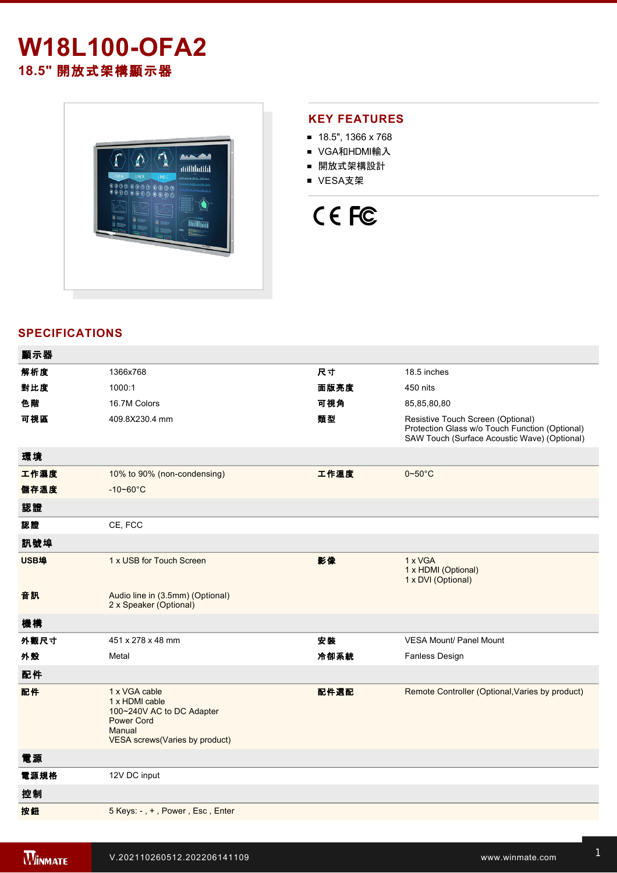# **W18L100-OFA2 18.5"** 開放式架構顯示器



## **KEY FEATURES**

- 18.5", 1366 x 768
- VGA和HDMI輸入
- 開放式架構設計
- VESA支架



## **SPECIFICATIONS**

| 顯示器  |                                                                                                                               |      |                                                                                                                                     |
|------|-------------------------------------------------------------------------------------------------------------------------------|------|-------------------------------------------------------------------------------------------------------------------------------------|
| 解析度  | 1366x768                                                                                                                      | 尺寸   | 18.5 inches                                                                                                                         |
| 對比度  | 1000:1                                                                                                                        | 面版亮度 | 450 nits                                                                                                                            |
| 色階   | 16.7M Colors                                                                                                                  | 可視角  | 85,85,80,80                                                                                                                         |
| 可視區  | 409.8X230.4 mm                                                                                                                | 類型   | Resistive Touch Screen (Optional)<br>Protection Glass w/o Touch Function (Optional)<br>SAW Touch (Surface Acoustic Wave) (Optional) |
| 環境   |                                                                                                                               |      |                                                                                                                                     |
| 工作濕度 | 10% to 90% (non-condensing)                                                                                                   | 工作溫度 | $0 - 50$ °C                                                                                                                         |
| 儲存溫度 | $-10 - 60^{\circ}C$                                                                                                           |      |                                                                                                                                     |
| 認證   |                                                                                                                               |      |                                                                                                                                     |
| 認證   | CE, FCC                                                                                                                       |      |                                                                                                                                     |
| 訊號埠  |                                                                                                                               |      |                                                                                                                                     |
| USB埠 | 1 x USB for Touch Screen                                                                                                      | 影像   | 1 x VGA<br>1 x HDMI (Optional)<br>1 x DVI (Optional)                                                                                |
| 音訊   | Audio line in (3.5mm) (Optional)<br>2 x Speaker (Optional)                                                                    |      |                                                                                                                                     |
| 機構   |                                                                                                                               |      |                                                                                                                                     |
| 外觀尺寸 | 451 x 278 x 48 mm                                                                                                             | 安装   | <b>VESA Mount/ Panel Mount</b>                                                                                                      |
| 外殼   | Metal                                                                                                                         | 冷卻系統 | Fanless Design                                                                                                                      |
| 配件   |                                                                                                                               |      |                                                                                                                                     |
| 配件   | 1 x VGA cable<br>1 x HDMI cable<br>100~240V AC to DC Adapter<br><b>Power Cord</b><br>Manual<br>VESA screws(Varies by product) | 配件選配 | Remote Controller (Optional, Varies by product)                                                                                     |
| 電源   |                                                                                                                               |      |                                                                                                                                     |
| 電源規格 | 12V DC input                                                                                                                  |      |                                                                                                                                     |
| 控制   |                                                                                                                               |      |                                                                                                                                     |
| 按鈕   | 5 Keys: -, +, Power, Esc, Enter                                                                                               |      |                                                                                                                                     |
|      |                                                                                                                               |      |                                                                                                                                     |